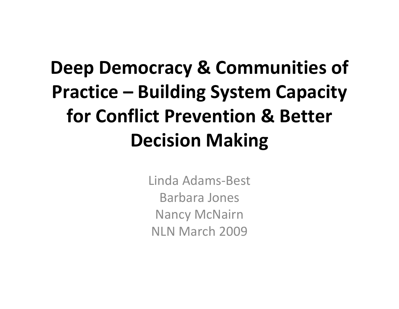## **Deep Democracy & Communities of Practice – Building System Capacity for Conflict Prevention & Better Decision Making**

Linda Adams‐Best Barbara Jones Nancy McNairn NLN March 2009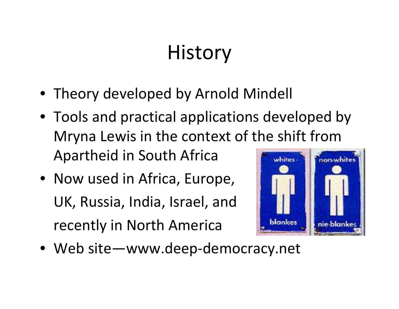# **History**

- Theory developed by Arnold Mindell
- Tools and practical applications developed by Mryna Lewis in the context of the shift from Apartheid in South Africa whites. non-white
- Now used in Africa, Europe, UK, Russia, India, Israel, and recently in North America



• Web site—www.deep‐democracy.net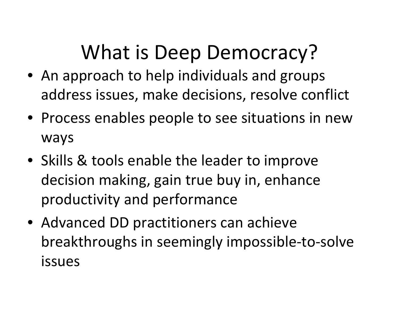## What is Deep Democracy?

- An approach to help individuals and groups address issues, make decisions, resolve conflict
- Process enables people to see situations in new ways
- Skills & tools enable the leader to improve decision making, gain true buy in, enhance productivity and performance
- Advanced DD practitioners can achieve breakthroughs in seemingly impossible‐to‐solve issues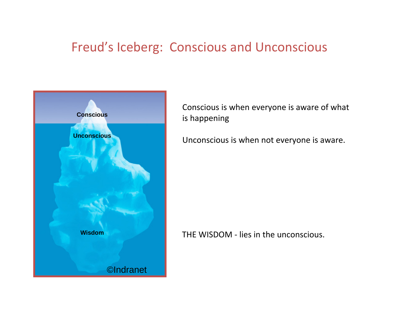#### Freud's Iceberg: Conscious and Unconscious



Conscious is when everyone is aware of what is happening

Unconscious is when not everyone is aware.

#### THE WISDOM ‐ lies in the unconscious.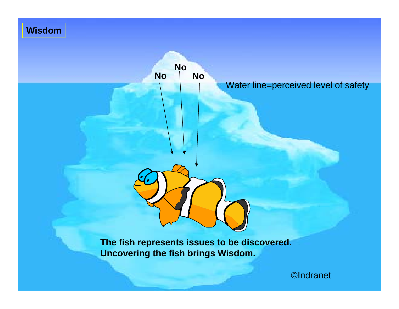#### **Wisdom**



**The fish represents issues to be discovered. Uncovering the fish brings Wisdom.**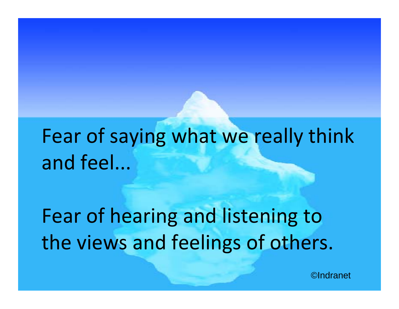# Fear of saying what we really think and feel...

Fear of hearing and listening to the views and feelings of others.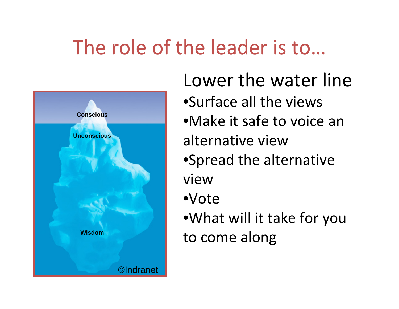## The role of the leader is to…



Lower the water line •Surface all the views •Make it safe to voice an alternative view•Spread the alternative view•Vote•What will it take for you to come along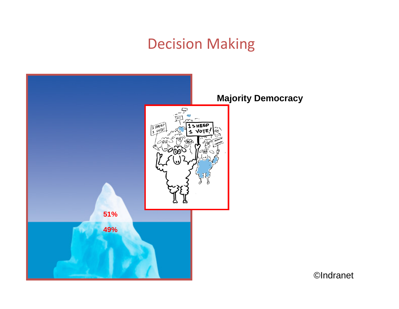#### Decision Making

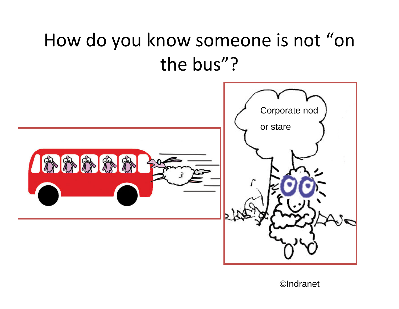#### How do you know someone is not "on the bus"?

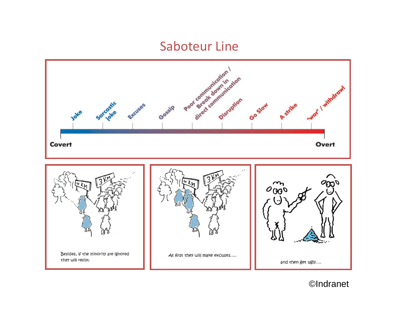#### Saboteur Line

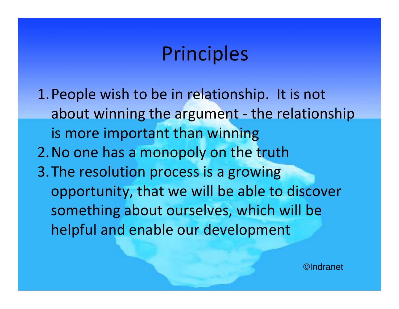#### Principles

1.People wish to be in relationship. It is not about winning the argument ‐ the relationship is more important than winning 2.No one has <sup>a</sup> monopoly on the truth 3.The resolution process is <sup>a</sup> growing opportunity, that we will be able to discover something about ourselves, which will be helpful and enable our development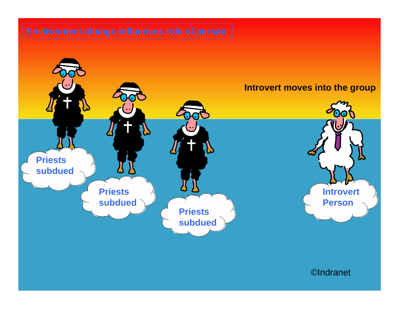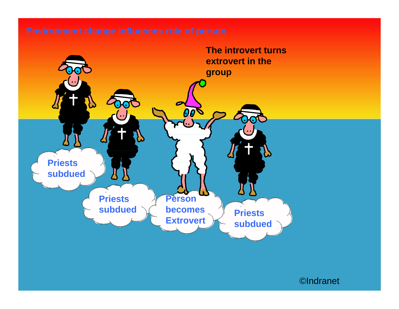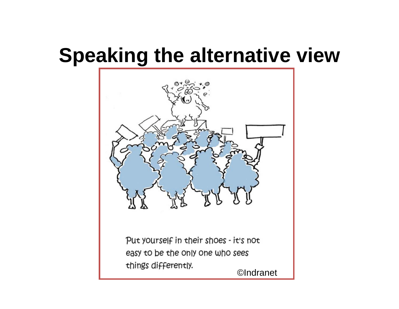### **Speaking the alternative view**



Put yourself in their shoes - it's not easy to be the only one who sees things differently.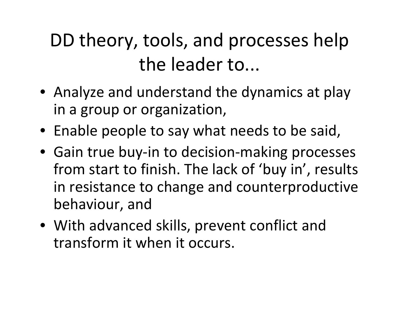#### DD theory, tools, and processes help the leader to...

- Analyze and understand the dynamics at play in <sup>a</sup> group or organization,
- Enable people to say what needs to be said,
- Gain true buy‐in to decision‐making processes from start to finish. The lack of 'buy in', results in resistance to change and counterproductive behaviour, and
- With advanced skills, prevent conflict and transform it when it occurs.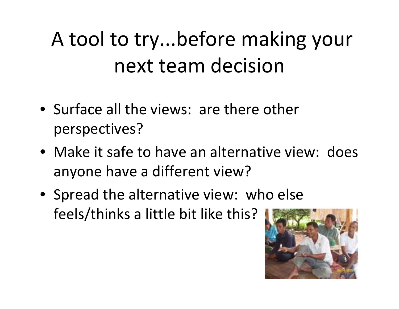# A tool to try...before making your next team decision

- Surface all the views: are there other perspectives?
- Make it safe to have an alternative view: does anyone have <sup>a</sup> different view?
- Spread the alternative view: who else feels/thinks <sup>a</sup> little bit like this?

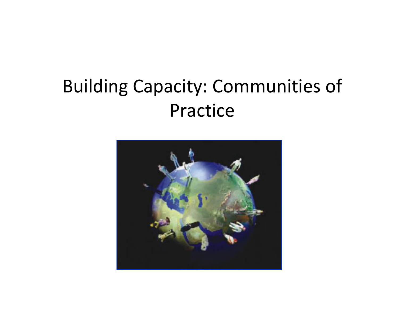#### Building Capacity: Communities of Practice

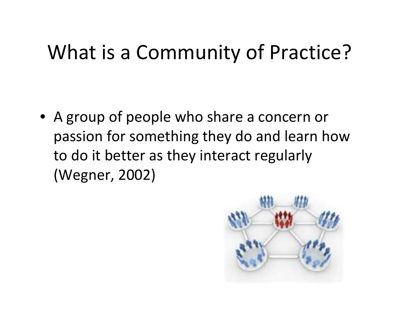### What is a Community of Practice?

• A group of people who share <sup>a</sup> concern or passion for something they do and learn how to do it better as they interact regularly (Wegner, 2002)

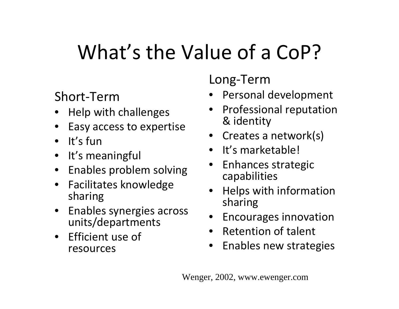# What's the Value of a CoP?

#### Short‐Term

- Help with challenges
- Easy access to expertise
- It's fun
- It's meaningful
- Enables problem solving
- Facilitates knowledge sharing
- Enables synergies across units/departments
- Efficient use of resources

Long ‐Term

- Personal development
- Professional reputation & identity
- Creates a network(s)
- It's marketable!
- Enhances strategic capabilities
- Helps with information sharing
- Encourages innovation
- Retention of talent
- Enables new strategies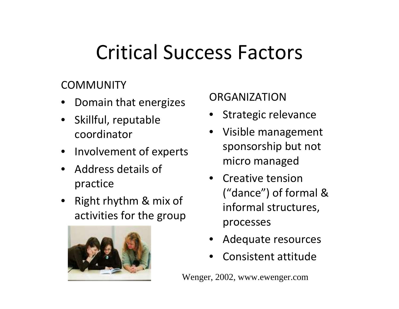## Critical Success Factors

#### **COMMUNITY**

- Domain that energizes
- Skillful, reputable coordinator
- Involvement of experts
- Address details of practice
- Right rhythm & mix of activities for the group



#### ORGANIZATION

- Strategic relevance
- Visible management sponsorship but not micro managed
- Creative tension("dance") of formal & informal structures, processes
- Adequate resources
- Consistent attitude

Wenger, 2002, www.ewenger.com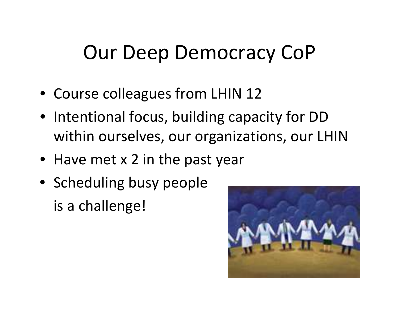## Our Deep Democracy CoP

- Course colleagues from LHIN 12
- Intentional focus, building capacity for DD within ourselves, our organizations, our LHIN
- Have met x 2 in the past year
- Scheduling busy people is a challenge!

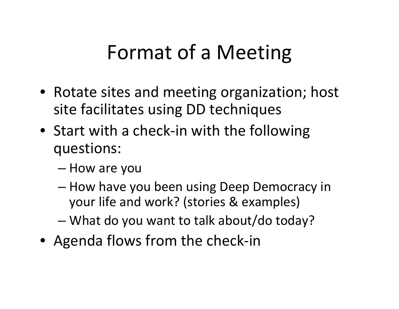## Format of <sup>a</sup> Meeting

- Rotate sites and meeting organization; host site facilitates using DD techniques
- Start with <sup>a</sup> check‐in with the following questions:
	- How are you
	- How have you been using Deep Democracy in your life and work? (stories & examples)
	- What do you want to talk about/do today?
- Agenda flows from the check-in